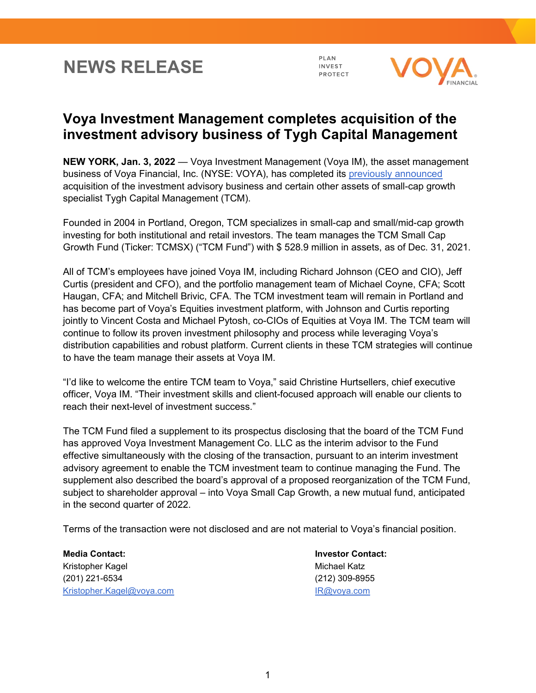## **NEWS RELEASE**

PLAN **INVEST** PROTECT



## **Voya Investment Management completes acquisition of the investment advisory business of Tygh Capital Management**

**NEW YORK, Jan. 3, 2022** — Voya Investment Management (Voya IM), the asset management business of Voya Financial, Inc. (NYSE: VOYA), has completed its [previously announced](https://www.voya.com/news/2021/11/voya-investment-management-acquire-investment-advisory-business-tygh-capital) acquisition of the investment advisory business and certain other assets of small-cap growth specialist Tygh Capital Management (TCM).

Founded in 2004 in Portland, Oregon, TCM specializes in small-cap and small/mid-cap growth investing for both institutional and retail investors. The team manages the TCM Small Cap Growth Fund (Ticker: TCMSX) ("TCM Fund") with \$ 528.9 million in assets, as of Dec. 31, 2021.

All of TCM's employees have joined Voya IM, including Richard Johnson (CEO and CIO), Jeff Curtis (president and CFO), and the portfolio management team of Michael Coyne, CFA; Scott Haugan, CFA; and Mitchell Brivic, CFA. The TCM investment team will remain in Portland and has become part of Voya's Equities investment platform, with Johnson and Curtis reporting jointly to Vincent Costa and Michael Pytosh, co-CIOs of Equities at Voya IM. The TCM team will continue to follow its proven investment philosophy and process while leveraging Voya's distribution capabilities and robust platform. Current clients in these TCM strategies will continue to have the team manage their assets at Voya IM.

"I'd like to welcome the entire TCM team to Voya," said Christine Hurtsellers, chief executive officer, Voya IM. "Their investment skills and client-focused approach will enable our clients to reach their next-level of investment success."

The TCM Fund filed a supplement to its prospectus disclosing that the board of the TCM Fund has approved Voya Investment Management Co. LLC as the interim advisor to the Fund effective simultaneously with the closing of the transaction, pursuant to an interim investment advisory agreement to enable the TCM investment team to continue managing the Fund. The supplement also described the board's approval of a proposed reorganization of the TCM Fund, subject to shareholder approval – into Voya Small Cap Growth, a new mutual fund, anticipated in the second quarter of 2022.

Terms of the transaction were not disclosed and are not material to Voya's financial position.

**Media Contact: Investor Contact:** Kristopher Kagel Michael Katz (201) 221-6534 (212) 309-8955 [Kristopher.Kagel@voya.com](mailto:Kristopher.Kagel@voya.com) **[IR@voya.com](mailto:IR@voya.com)** IR@voya.com